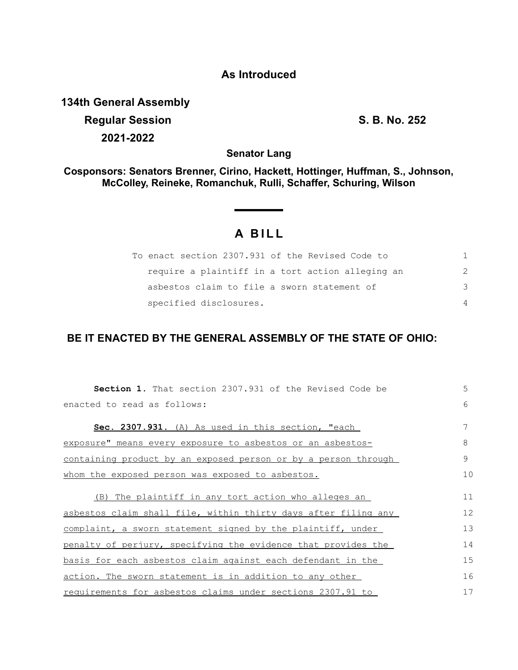## **As Introduced**

**134th General Assembly Regular Session S. B. No. 252 2021-2022**

**Senator Lang**

**Cosponsors: Senators Brenner, Cirino, Hackett, Hottinger, Huffman, S., Johnson, McColley, Reineke, Romanchuk, Rulli, Schaffer, Schuring, Wilson**

## **A BILL**

| To enact section 2307.931 of the Revised Code to |               |
|--------------------------------------------------|---------------|
| require a plaintiff in a tort action alleging an | $\mathcal{P}$ |
| asbestos claim to file a sworn statement of      | 3             |
| specified disclosures.                           | 4             |

## **BE IT ENACTED BY THE GENERAL ASSEMBLY OF THE STATE OF OHIO:**

| <b>Section 1.</b> That section 2307.931 of the Revised Code be                                                        | 5        |
|-----------------------------------------------------------------------------------------------------------------------|----------|
| enacted to read as follows:                                                                                           | 6        |
| Sec. 2307.931. (A) As used in this section, "each                                                                     | 7        |
| exposure" means every exposure to asbestos or an asbestos-                                                            | 8        |
| <u>containing product by an exposed person or by a person through</u>                                                 | 9        |
| whom the exposed person was exposed to asbestos.                                                                      | 10       |
| (B) The plaintiff in any tort action who alleges an<br>asbestos claim shall file, within thirty days after filing any | 11<br>12 |
| complaint, a sworn statement signed by the plaintiff, under                                                           | 13       |
| penalty of perjury, specifying the evidence that provides the                                                         | 14       |
| <u>basis for each asbestos claim against each defendant in the</u>                                                    | 15       |
| <u>action. The sworn statement is in addition to any other</u>                                                        | 16       |
| requirements for asbestos claims under sections 2307.91 to                                                            | 17       |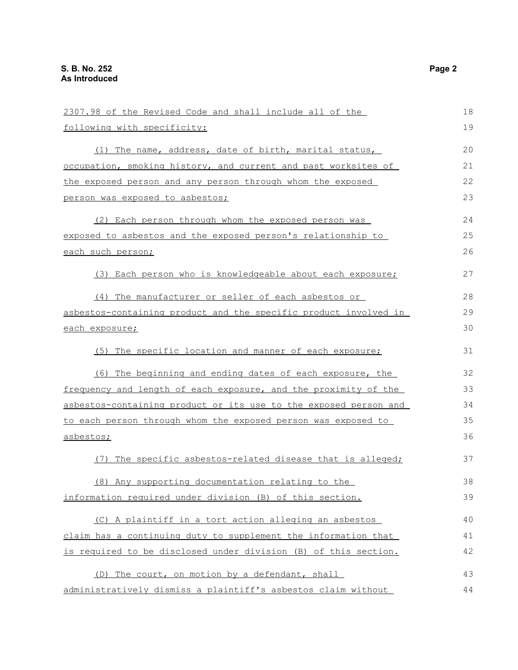| 2307.98 of the Revised Code and shall include all of the              | 18 |
|-----------------------------------------------------------------------|----|
| following with specificity:                                           | 19 |
| (1) The name, address, date of birth, marital status,                 | 20 |
| <u>occupation, smoking history, and current and past worksites of</u> | 21 |
| the exposed person and any person through whom the exposed            | 22 |
| person was exposed to asbestos;                                       | 23 |
| (2) Each person through whom the exposed person was                   | 24 |
| exposed to asbestos and the exposed person's relationship to          | 25 |
| each such person;                                                     | 26 |
| (3) Each person who is knowledgeable about each exposure;             | 27 |
| (4) The manufacturer or seller of each asbestos or                    | 28 |
| asbestos-containing product and the specific product involved in      | 29 |
| each exposure;                                                        | 30 |
| (5) The specific location and manner of each exposure;                | 31 |
| (6) The beginning and ending dates of each exposure, the              | 32 |
| frequency and length of each exposure, and the proximity of the       | 33 |
| asbestos-containing product or its use to the exposed person and      | 34 |
| to each person through whom the exposed person was exposed to         |    |
| asbestos;                                                             | 36 |
| (7) The specific asbestos-related disease that is alleged;            | 37 |
| (8) Any supporting documentation relating to the                      | 38 |
| information required under division (B) of this section.              | 39 |
| (C) A plaintiff in a tort action alleging an asbestos                 | 40 |
| claim has a continuing duty to supplement the information that        | 41 |
| is required to be disclosed under division (B) of this section.       | 42 |
| (D) The court, on motion by a defendant, shall                        | 43 |
| administratively dismiss a plaintiff's asbestos claim without         | 44 |